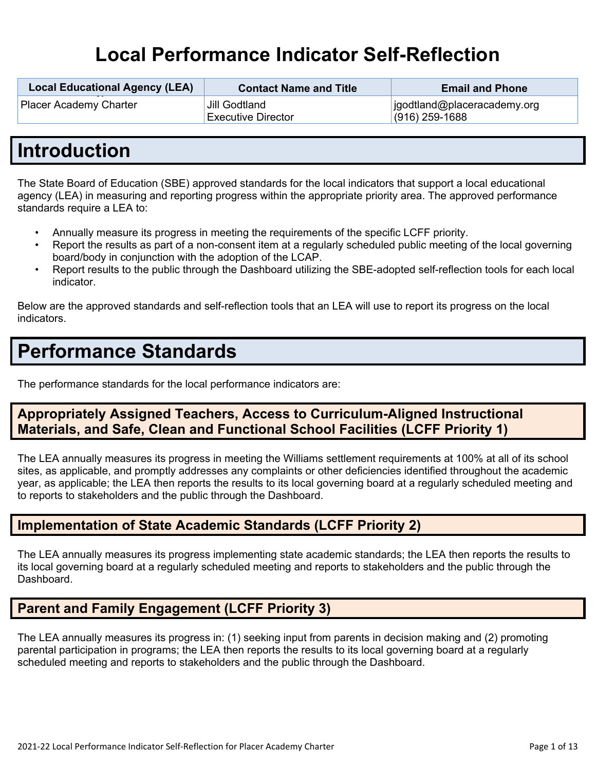# **Local Performance Indicator Self-Reflection**

| <b>Local Educational Agency (LEA)</b> | <b>Contact Name and Title</b>              | <b>Email and Phone</b>                          |
|---------------------------------------|--------------------------------------------|-------------------------------------------------|
| <b>Placer Academy Charter</b>         | Jill Godtland<br><b>Executive Director</b> | jgodtland@placeracademy.org<br>$(916)$ 259-1688 |

## **Introduction**

The State Board of Education (SBE) approved standards for the local indicators that support a local educational agency (LEA) in measuring and reporting progress within the appropriate priority area. The approved performance standards require a LEA to:

- Annually measure its progress in meeting the requirements of the specific LCFF priority.
- Report the results as part of a non-consent item at a regularly scheduled public meeting of the local governing board/body in conjunction with the adoption of the LCAP.
- Report results to the public through the Dashboard utilizing the SBE-adopted self-reflection tools for each local indicator.

Below are the approved standards and self-reflection tools that an LEA will use to report its progress on the local indicators.

# **Performance Standards**

The performance standards for the local performance indicators are:

## **Appropriately Assigned Teachers, Access to Curriculum-Aligned Instructional Materials, and Safe, Clean and Functional School Facilities (LCFF Priority 1)**

The LEA annually measures its progress in meeting the Williams settlement requirements at 100% at all of its school sites, as applicable, and promptly addresses any complaints or other deficiencies identified throughout the academic year, as applicable; the LEA then reports the results to its local governing board at a regularly scheduled meeting and to reports to stakeholders and the public through the Dashboard.

## **Implementation of State Academic Standards (LCFF Priority 2)**

The LEA annually measures its progress implementing state academic standards; the LEA then reports the results to its local governing board at a regularly scheduled meeting and reports to stakeholders and the public through the Dashboard.

## **Parent and Family Engagement (LCFF Priority 3)**

The LEA annually measures its progress in: (1) seeking input from parents in decision making and (2) promoting parental participation in programs; the LEA then reports the results to its local governing board at a regularly scheduled meeting and reports to stakeholders and the public through the Dashboard.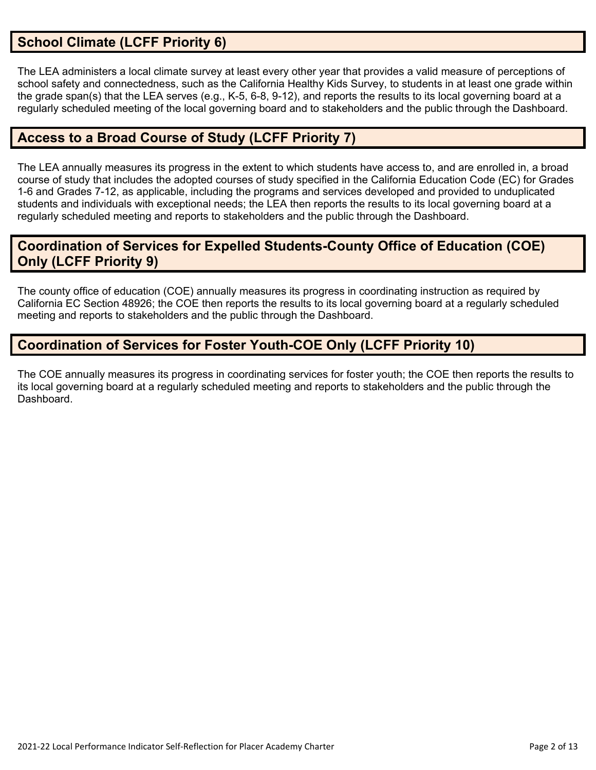## **School Climate (LCFF Priority 6)**

The LEA administers a local climate survey at least every other year that provides a valid measure of perceptions of school safety and connectedness, such as the California Healthy Kids Survey, to students in at least one grade within the grade span(s) that the LEA serves (e.g., K-5, 6-8, 9-12), and reports the results to its local governing board at a regularly scheduled meeting of the local governing board and to stakeholders and the public through the Dashboard.

## **Access to a Broad Course of Study (LCFF Priority 7)**

The LEA annually measures its progress in the extent to which students have access to, and are enrolled in, a broad course of study that includes the adopted courses of study specified in the California Education Code (EC) for Grades 1-6 and Grades 7-12, as applicable, including the programs and services developed and provided to unduplicated students and individuals with exceptional needs; the LEA then reports the results to its local governing board at a regularly scheduled meeting and reports to stakeholders and the public through the Dashboard.

## **Coordination of Services for Expelled Students-County Office of Education (COE) Only (LCFF Priority 9)**

The county office of education (COE) annually measures its progress in coordinating instruction as required by California EC Section 48926; the COE then reports the results to its local governing board at a regularly scheduled meeting and reports to stakeholders and the public through the Dashboard.

## **Coordination of Services for Foster Youth-COE Only (LCFF Priority 10)**

The COE annually measures its progress in coordinating services for foster youth; the COE then reports the results to its local governing board at a regularly scheduled meeting and reports to stakeholders and the public through the **Dashboard**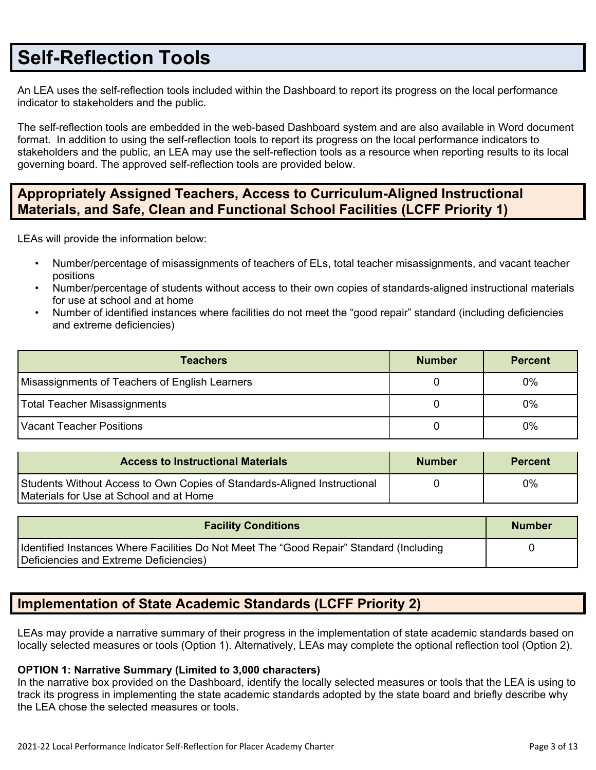## **Self-Reflection Tools**

An LEA uses the self-reflection tools included within the Dashboard to report its progress on the local performance indicator to stakeholders and the public.

The self-reflection tools are embedded in the web-based Dashboard system and are also available in Word document format. In addition to using the self-reflection tools to report its progress on the local performance indicators to stakeholders and the public, an LEA may use the self-reflection tools as a resource when reporting results to its local governing board. The approved self-reflection tools are provided below.

## **Appropriately Assigned Teachers, Access to Curriculum-Aligned Instructional Materials, and Safe, Clean and Functional School Facilities (LCFF Priority 1)**

LEAs will provide the information below:

- Number/percentage of misassignments of teachers of ELs, total teacher misassignments, and vacant teacher positions
- Number/percentage of students without access to their own copies of standards-aligned instructional materials for use at school and at home
- Number of identified instances where facilities do not meet the "good repair" standard (including deficiencies and extreme deficiencies)

| <b>Teachers</b>                                | <b>Number</b> | <b>Percent</b> |
|------------------------------------------------|---------------|----------------|
| Misassignments of Teachers of English Learners |               | 0%             |
| Total Teacher Misassignments                   |               | 0%             |
| Vacant Teacher Positions                       |               | 0%             |

| <b>Access to Instructional Materials</b>                                                                            | <b>Number</b> | <b>Percent</b> |
|---------------------------------------------------------------------------------------------------------------------|---------------|----------------|
| Students Without Access to Own Copies of Standards-Aligned Instructional<br>Materials for Use at School and at Home |               | 0%             |

| <b>Facility Conditions</b>                                                                                                        | <b>Number</b> |
|-----------------------------------------------------------------------------------------------------------------------------------|---------------|
| Identified Instances Where Facilities Do Not Meet The "Good Repair" Standard (Including<br>Deficiencies and Extreme Deficiencies) |               |

## **Implementation of State Academic Standards (LCFF Priority 2)**

LEAs may provide a narrative summary of their progress in the implementation of state academic standards based on locally selected measures or tools (Option 1). Alternatively, LEAs may complete the optional reflection tool (Option 2).

#### **OPTION 1: Narrative Summary (Limited to 3,000 characters)**

In the narrative box provided on the Dashboard, identify the locally selected measures or tools that the LEA is using to track its progress in implementing the state academic standards adopted by the state board and briefly describe why the LEA chose the selected measures or tools.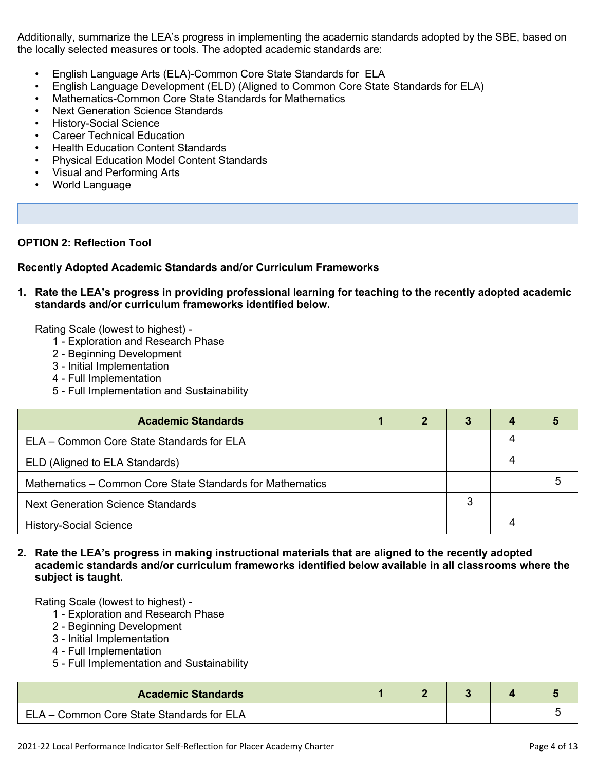Additionally, summarize the LEA's progress in implementing the academic standards adopted by the SBE, based on the locally selected measures or tools. The adopted academic standards are:

- English Language Arts (ELA)-Common Core State Standards for ELA
- English Language Development (ELD) (Aligned to Common Core State Standards for ELA)
- Mathematics-Common Core State Standards for Mathematics
- Next Generation Science Standards
- History-Social Science
- **Career Technical Education**
- Health Education Content Standards
- Physical Education Model Content Standards
- Visual and Performing Arts
- World Language

#### **OPTION 2: Reflection Tool**

#### **Recently Adopted Academic Standards and/or Curriculum Frameworks**

**1. Rate the LEA's progress in providing professional learning for teaching to the recently adopted academic standards and/or curriculum frameworks identified below.**

Rating Scale (lowest to highest) -

- 1 Exploration and Research Phase
- 2 Beginning Development
- 3 Initial Implementation
- 4 Full Implementation
- 5 Full Implementation and Sustainability

| <b>Academic Standards</b>                                 |  |   |  |
|-----------------------------------------------------------|--|---|--|
| ELA – Common Core State Standards for ELA                 |  |   |  |
| ELD (Aligned to ELA Standards)                            |  |   |  |
| Mathematics – Common Core State Standards for Mathematics |  |   |  |
| <b>Next Generation Science Standards</b>                  |  | 3 |  |
| <b>History-Social Science</b>                             |  |   |  |

#### **2. Rate the LEA's progress in making instructional materials that are aligned to the recently adopted academic standards and/or curriculum frameworks identified below available in all classrooms where the subject is taught.**

- 1 Exploration and Research Phase
- 2 Beginning Development
- 3 Initial Implementation
- 4 Full Implementation
- 5 Full Implementation and Sustainability

| <b>Academic Standards</b>                 |  |  |  |
|-------------------------------------------|--|--|--|
| ELA – Common Core State Standards for ELA |  |  |  |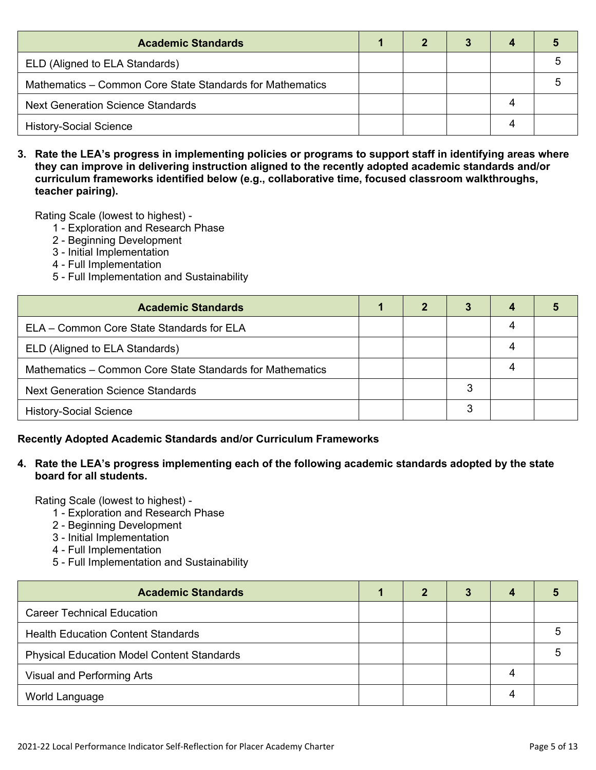| <b>Academic Standards</b>                                 |  |  |  |
|-----------------------------------------------------------|--|--|--|
| ELD (Aligned to ELA Standards)                            |  |  |  |
| Mathematics – Common Core State Standards for Mathematics |  |  |  |
| <b>Next Generation Science Standards</b>                  |  |  |  |
| <b>History-Social Science</b>                             |  |  |  |

3. Rate the LEA's progress in implementing policies or programs to support staff in identifying areas where **they can improve in delivering instruction aligned to the recently adopted academic standards and/or curriculum frameworks identified below (e.g., collaborative time, focused classroom walkthroughs, teacher pairing).**

Rating Scale (lowest to highest) -

- 1 Exploration and Research Phase
- 2 Beginning Development
- 3 Initial Implementation
- 4 Full Implementation
- 5 Full Implementation and Sustainability

| <b>Academic Standards</b>                                 | 2 | 3 | 4 |  |
|-----------------------------------------------------------|---|---|---|--|
| ELA – Common Core State Standards for ELA                 |   |   | 4 |  |
| ELD (Aligned to ELA Standards)                            |   |   | 4 |  |
| Mathematics – Common Core State Standards for Mathematics |   |   | 4 |  |
| <b>Next Generation Science Standards</b>                  |   | 3 |   |  |
| <b>History-Social Science</b>                             |   | 3 |   |  |

#### **Recently Adopted Academic Standards and/or Curriculum Frameworks**

#### **4. Rate the LEA's progress implementing each of the following academic standards adopted by the state board for all students.**

- 1 Exploration and Research Phase
- 2 Beginning Development
- 3 Initial Implementation
- 4 Full Implementation
- 5 Full Implementation and Sustainability

| <b>Academic Standards</b>                         |  | 3 |   |  |
|---------------------------------------------------|--|---|---|--|
| <b>Career Technical Education</b>                 |  |   |   |  |
| <b>Health Education Content Standards</b>         |  |   |   |  |
| <b>Physical Education Model Content Standards</b> |  |   |   |  |
| Visual and Performing Arts                        |  |   | 4 |  |
| World Language                                    |  |   |   |  |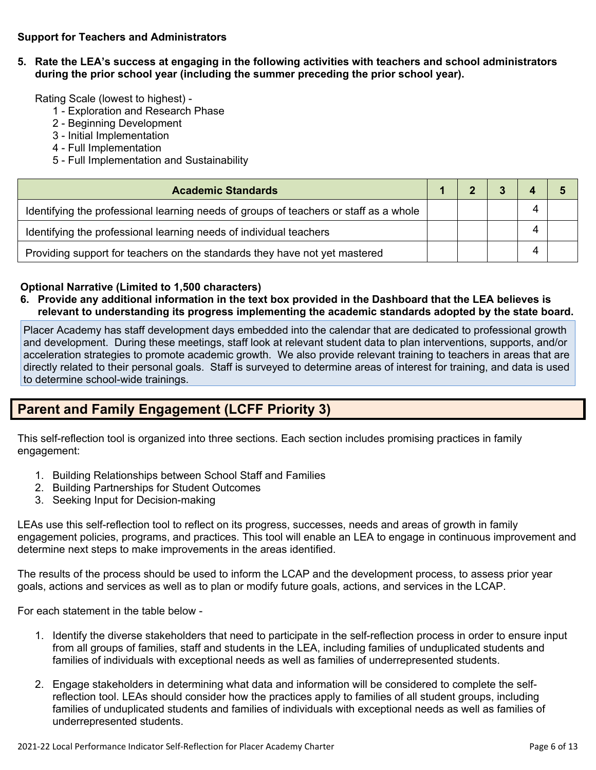#### **Support for Teachers and Administrators**

**5. Rate the LEA's success at engaging in the following activities with teachers and school administrators during the prior school year (including the summer preceding the prior school year).**

Rating Scale (lowest to highest) -

- 1 Exploration and Research Phase
- 2 Beginning Development
- 3 Initial Implementation
- 4 Full Implementation
- 5 Full Implementation and Sustainability

| <b>Academic Standards</b>                                                             |  |  |  |
|---------------------------------------------------------------------------------------|--|--|--|
| Identifying the professional learning needs of groups of teachers or staff as a whole |  |  |  |
| Identifying the professional learning needs of individual teachers                    |  |  |  |
| Providing support for teachers on the standards they have not yet mastered            |  |  |  |

#### **Optional Narrative (Limited to 1,500 characters)**

6. Provide any additional information in the text box provided in the Dashboard that the LEA believes is **relevant to understanding its progress implementing the academic standards adopted by the state board.**

Placer Academy has staff development days embedded into the calendar that are dedicated to professional growth and development. During these meetings, staff look at relevant student data to plan interventions, supports, and/or acceleration strategies to promote academic growth. We also provide relevant training to teachers in areas that are directly related to their personal goals. Staff is surveyed to determine areas of interest for training, and data is used to determine school-wide trainings.

## **Parent and Family Engagement (LCFF Priority 3)**

This self-reflection tool is organized into three sections. Each section includes promising practices in family engagement:

- 1. Building Relationships between School Staff and Families
- 2. Building Partnerships for Student Outcomes
- 3. Seeking Input for Decision-making

LEAs use this self-reflection tool to reflect on its progress, successes, needs and areas of growth in family engagement policies, programs, and practices. This tool will enable an LEA to engage in continuous improvement and determine next steps to make improvements in the areas identified.

The results of the process should be used to inform the LCAP and the development process, to assess prior year goals, actions and services as well as to plan or modify future goals, actions, and services in the LCAP.

For each statement in the table below -

- 1. Identify the diverse stakeholders that need to participate in the self-reflection process in order to ensure input from all groups of families, staff and students in the LEA, including families of unduplicated students and families of individuals with exceptional needs as well as families of underrepresented students.
- 2. Engage stakeholders in determining what data and information will be considered to complete the selfreflection tool. LEAs should consider how the practices apply to families of all student groups, including families of unduplicated students and families of individuals with exceptional needs as well as families of underrepresented students.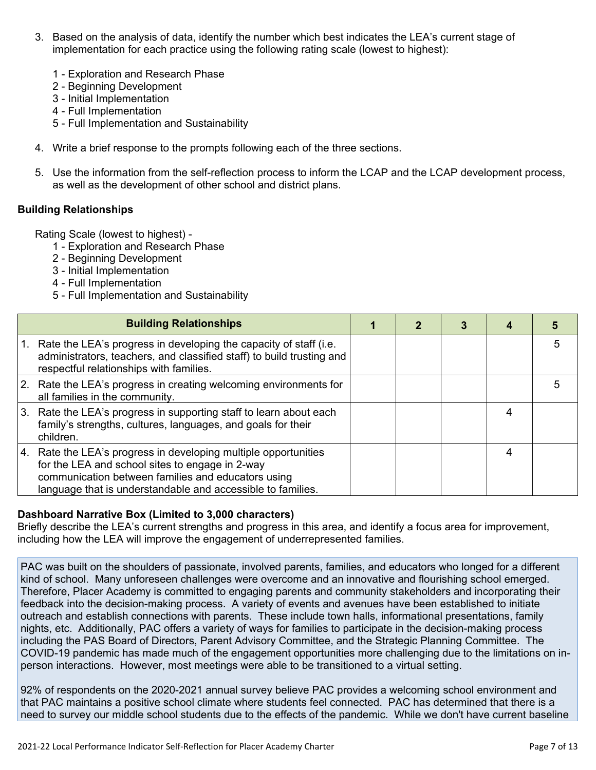- 3. Based on the analysis of data, identify the number which best indicates the LEA's current stage of implementation for each practice using the following rating scale (lowest to highest):
	- 1 Exploration and Research Phase
	- 2 Beginning Development
	- 3 Initial Implementation
	- 4 Full Implementation
	- 5 Full Implementation and Sustainability
- 4. Write a brief response to the prompts following each of the three sections.
- 5. Use the information from the self-reflection process to inform the LCAP and the LCAP development process, as well as the development of other school and district plans.

#### **Building Relationships**

Rating Scale (lowest to highest) -

- 1 Exploration and Research Phase
- 2 Beginning Development
- 3 Initial Implementation
- 4 Full Implementation
- 5 Full Implementation and Sustainability

|    | <b>Building Relationships</b>                                                                                                                                                                                                        |  |  |   |
|----|--------------------------------------------------------------------------------------------------------------------------------------------------------------------------------------------------------------------------------------|--|--|---|
|    | Rate the LEA's progress in developing the capacity of staff (i.e.<br>administrators, teachers, and classified staff) to build trusting and<br>respectful relationships with families.                                                |  |  | 5 |
|    | 2. Rate the LEA's progress in creating welcoming environments for<br>all families in the community.                                                                                                                                  |  |  |   |
| 3. | Rate the LEA's progress in supporting staff to learn about each<br>family's strengths, cultures, languages, and goals for their<br>children.                                                                                         |  |  |   |
| 4. | Rate the LEA's progress in developing multiple opportunities<br>for the LEA and school sites to engage in 2-way<br>communication between families and educators using<br>language that is understandable and accessible to families. |  |  |   |

#### **Dashboard Narrative Box (Limited to 3,000 characters)**

Briefly describe the LEA's current strengths and progress in this area, and identify a focus area for improvement, including how the LEA will improve the engagement of underrepresented families.

PAC was built on the shoulders of passionate, involved parents, families, and educators who longed for a different kind of school. Many unforeseen challenges were overcome and an innovative and flourishing school emerged. Therefore, Placer Academy is committed to engaging parents and community stakeholders and incorporating their feedback into the decision-making process. A variety of events and avenues have been established to initiate outreach and establish connections with parents. These include town halls, informational presentations, family nights, etc. Additionally, PAC offers a variety of ways for families to participate in the decision-making process including the PAS Board of Directors, Parent Advisory Committee, and the Strategic Planning Committee. The COVID-19 pandemic has made much of the engagement opportunities more challenging due to the limitations on inperson interactions. However, most meetings were able to be transitioned to a virtual setting.

92% of respondents on the 2020-2021 annual survey believe PAC provides a welcoming school environment and that PAC maintains a positive school climate where students feel connected. PAC has determined that there is a need to survey our middle school students due to the effects of the pandemic. While we don't have current baseline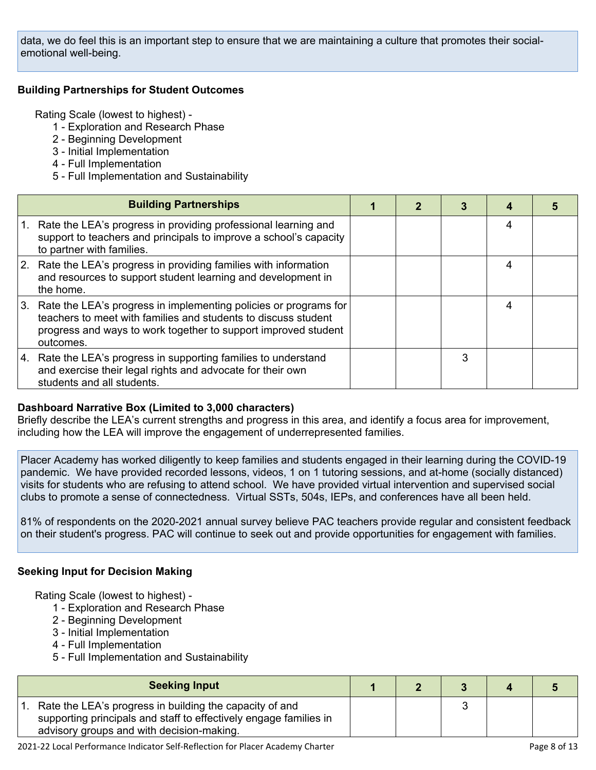data, we do feel this is an important step to ensure that we are maintaining a culture that promotes their socialemotional well-being.

#### **Building Partnerships for Student Outcomes**

Rating Scale (lowest to highest) -

- 1 Exploration and Research Phase
- 2 Beginning Development
- 3 Initial Implementation
- 4 Full Implementation
- 5 Full Implementation and Sustainability

| <b>Building Partnerships</b>                                                                                                                                                                                         |  |   |   |  |
|----------------------------------------------------------------------------------------------------------------------------------------------------------------------------------------------------------------------|--|---|---|--|
| Rate the LEA's progress in providing professional learning and<br>support to teachers and principals to improve a school's capacity<br>to partner with families.                                                     |  |   | 4 |  |
| 2. Rate the LEA's progress in providing families with information<br>and resources to support student learning and development in<br>the home.                                                                       |  |   | 4 |  |
| 3. Rate the LEA's progress in implementing policies or programs for<br>teachers to meet with families and students to discuss student<br>progress and ways to work together to support improved student<br>outcomes. |  |   | 4 |  |
| 4. Rate the LEA's progress in supporting families to understand<br>and exercise their legal rights and advocate for their own<br>students and all students.                                                          |  | З |   |  |

#### **Dashboard Narrative Box (Limited to 3,000 characters)**

Briefly describe the LEA's current strengths and progress in this area, and identify a focus area for improvement, including how the LEA will improve the engagement of underrepresented families.

Placer Academy has worked diligently to keep families and students engaged in their learning during the COVID-19 pandemic. We have provided recorded lessons, videos, 1 on 1 tutoring sessions, and at-home (socially distanced) visits for students who are refusing to attend school. We have provided virtual intervention and supervised social clubs to promote a sense of connectedness. Virtual SSTs, 504s, IEPs, and conferences have all been held.

81% of respondents on the 2020-2021 annual survey believe PAC teachers provide regular and consistent feedback on their student's progress. PAC will continue to seek out and provide opportunities for engagement with families.

#### **Seeking Input for Decision Making**

- 1 Exploration and Research Phase
- 2 Beginning Development
- 3 Initial Implementation
- 4 Full Implementation
- 5 Full Implementation and Sustainability

| <b>Seeking Input</b>                                                                                                                                                      |  |  |  |
|---------------------------------------------------------------------------------------------------------------------------------------------------------------------------|--|--|--|
| Rate the LEA's progress in building the capacity of and<br>supporting principals and staff to effectively engage families in<br>advisory groups and with decision-making. |  |  |  |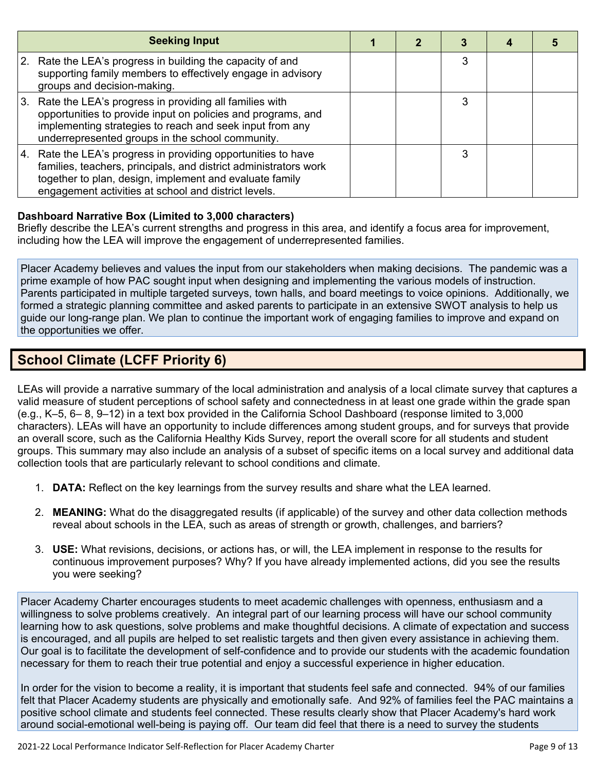|    | <b>Seeking Input</b>                                                                                                                                                                                                                                 |  |   |  |
|----|------------------------------------------------------------------------------------------------------------------------------------------------------------------------------------------------------------------------------------------------------|--|---|--|
|    | 2. Rate the LEA's progress in building the capacity of and<br>supporting family members to effectively engage in advisory<br>groups and decision-making.                                                                                             |  | 3 |  |
| 3. | Rate the LEA's progress in providing all families with<br>opportunities to provide input on policies and programs, and<br>implementing strategies to reach and seek input from any<br>underrepresented groups in the school community.               |  |   |  |
|    | 4. Rate the LEA's progress in providing opportunities to have<br>families, teachers, principals, and district administrators work<br>together to plan, design, implement and evaluate family<br>engagement activities at school and district levels. |  | 3 |  |

#### **Dashboard Narrative Box (Limited to 3,000 characters)**

Briefly describe the LEA's current strengths and progress in this area, and identify a focus area for improvement, including how the LEA will improve the engagement of underrepresented families.

Placer Academy believes and values the input from our stakeholders when making decisions. The pandemic was a prime example of how PAC sought input when designing and implementing the various models of instruction. Parents participated in multiple targeted surveys, town halls, and board meetings to voice opinions. Additionally, we formed a strategic planning committee and asked parents to participate in an extensive SWOT analysis to help us guide our long-range plan. We plan to continue the important work of engaging families to improve and expand on the opportunities we offer.

## **School Climate (LCFF Priority 6)**

LEAs will provide a narrative summary of the local administration and analysis of a local climate survey that captures a valid measure of student perceptions of school safety and connectedness in at least one grade within the grade span (e.g., K–5, 6– 8, 9–12) in a text box provided in the California School Dashboard (response limited to 3,000 characters). LEAs will have an opportunity to include differences among student groups, and for surveys that provide an overall score, such as the California Healthy Kids Survey, report the overall score for all students and student groups. This summary may also include an analysis of a subset of specific items on a local survey and additional data collection tools that are particularly relevant to school conditions and climate.

- 1. **DATA:** Reflect on the key learnings from the survey results and share what the LEA learned.
- 2. **MEANING:** What do the disaggregated results (if applicable) of the survey and other data collection methods reveal about schools in the LEA, such as areas of strength or growth, challenges, and barriers?
- 3. **USE:** What revisions, decisions, or actions has, or will, the LEA implement in response to the results for continuous improvement purposes? Why? If you have already implemented actions, did you see the results you were seeking?

Placer Academy Charter encourages students to meet academic challenges with openness, enthusiasm and a willingness to solve problems creatively. An integral part of our learning process will have our school community learning how to ask questions, solve problems and make thoughtful decisions. A climate of expectation and success is encouraged, and all pupils are helped to set realistic targets and then given every assistance in achieving them. Our goal is to facilitate the development of self-confidence and to provide our students with the academic foundation necessary for them to reach their true potential and enjoy a successful experience in higher education.

In order for the vision to become a reality, it is important that students feel safe and connected. 94% of our families felt that Placer Academy students are physically and emotionally safe. And 92% of families feel the PAC maintains a positive school climate and students feel connected. These results clearly show that Placer Academy's hard work around social-emotional well-being is paying off. Our team did feel that there is a need to survey the students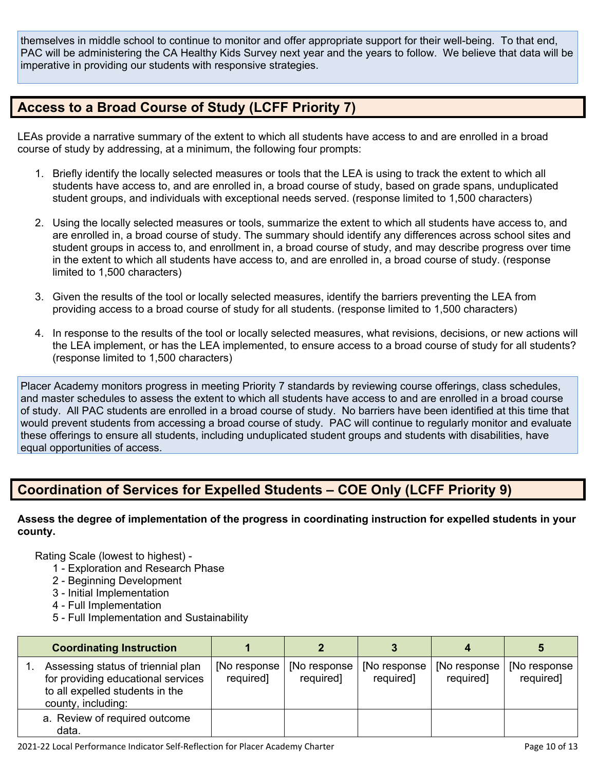themselves in middle school to continue to monitor and offer appropriate support for their well-being. To that end, PAC will be administering the CA Healthy Kids Survey next year and the years to follow. We believe that data will be imperative in providing our students with responsive strategies.

## **Access to a Broad Course of Study (LCFF Priority 7)**

LEAs provide a narrative summary of the extent to which all students have access to and are enrolled in a broad course of study by addressing, at a minimum, the following four prompts:

- 1. Briefly identify the locally selected measures or tools that the LEA is using to track the extent to which all students have access to, and are enrolled in, a broad course of study, based on grade spans, unduplicated student groups, and individuals with exceptional needs served. (response limited to 1,500 characters)
- 2. Using the locally selected measures or tools, summarize the extent to which all students have access to, and are enrolled in, a broad course of study. The summary should identify any differences across school sites and student groups in access to, and enrollment in, a broad course of study, and may describe progress over time in the extent to which all students have access to, and are enrolled in, a broad course of study. (response limited to 1,500 characters)
- 3. Given the results of the tool or locally selected measures, identify the barriers preventing the LEA from providing access to a broad course of study for all students. (response limited to 1,500 characters)
- 4. In response to the results of the tool or locally selected measures, what revisions, decisions, or new actions will the LEA implement, or has the LEA implemented, to ensure access to a broad course of study for all students? (response limited to 1,500 characters)

Placer Academy monitors progress in meeting Priority 7 standards by reviewing course offerings, class schedules, and master schedules to assess the extent to which all students have access to and are enrolled in a broad course of study. All PAC students are enrolled in a broad course of study. No barriers have been identified at this time that would prevent students from accessing a broad course of study. PAC will continue to regularly monitor and evaluate these offerings to ensure all students, including unduplicated student groups and students with disabilities, have equal opportunities of access.

## **Coordination of Services for Expelled Students – COE Only (LCFF Priority 9)**

**Assess the degree of implementation of the progress in coordinating instruction for expelled students in your county.**

- 1 Exploration and Research Phase
- 2 Beginning Development
- 3 Initial Implementation
- 4 Full Implementation
- 5 Full Implementation and Sustainability

| <b>Coordinating Instruction</b>                                                                                                   |                            |                            |                                 |                            |                                 |
|-----------------------------------------------------------------------------------------------------------------------------------|----------------------------|----------------------------|---------------------------------|----------------------------|---------------------------------|
| Assessing status of triennial plan<br>for providing educational services<br>to all expelled students in the<br>county, including: | [No response]<br>required] | [No response]<br>required] | $[No$ response $ $<br>required] | [No response]<br>required] | $[No$ response $ $<br>required] |
| a. Review of required outcome<br>data.                                                                                            |                            |                            |                                 |                            |                                 |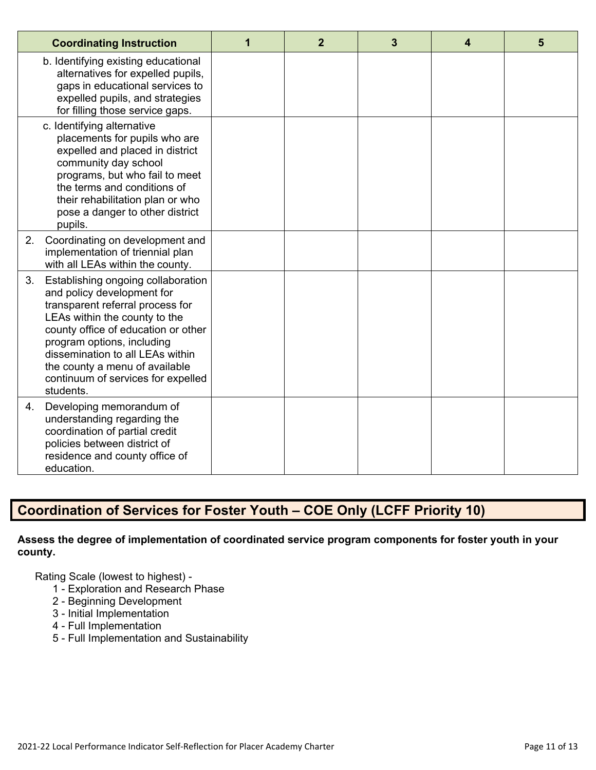| <b>Coordinating Instruction</b>                                                                                                                                                                                                                                                                                                           | 1 | $\overline{2}$ | 3 | 4 | 5 |
|-------------------------------------------------------------------------------------------------------------------------------------------------------------------------------------------------------------------------------------------------------------------------------------------------------------------------------------------|---|----------------|---|---|---|
| b. Identifying existing educational<br>alternatives for expelled pupils,<br>gaps in educational services to<br>expelled pupils, and strategies<br>for filling those service gaps.                                                                                                                                                         |   |                |   |   |   |
| c. Identifying alternative<br>placements for pupils who are<br>expelled and placed in district<br>community day school<br>programs, but who fail to meet<br>the terms and conditions of<br>their rehabilitation plan or who<br>pose a danger to other district<br>pupils.                                                                 |   |                |   |   |   |
| Coordinating on development and<br>2.<br>implementation of triennial plan<br>with all LEAs within the county.                                                                                                                                                                                                                             |   |                |   |   |   |
| 3.<br>Establishing ongoing collaboration<br>and policy development for<br>transparent referral process for<br>LEAs within the county to the<br>county office of education or other<br>program options, including<br>dissemination to all LEAs within<br>the county a menu of available<br>continuum of services for expelled<br>students. |   |                |   |   |   |
| Developing memorandum of<br>4.<br>understanding regarding the<br>coordination of partial credit<br>policies between district of<br>residence and county office of<br>education.                                                                                                                                                           |   |                |   |   |   |

## **Coordination of Services for Foster Youth – COE Only (LCFF Priority 10)**

#### **Assess the degree of implementation of coordinated service program components for foster youth in your county.**

- 1 Exploration and Research Phase
- 2 Beginning Development
- 3 Initial Implementation
- 4 Full Implementation
- 5 Full Implementation and Sustainability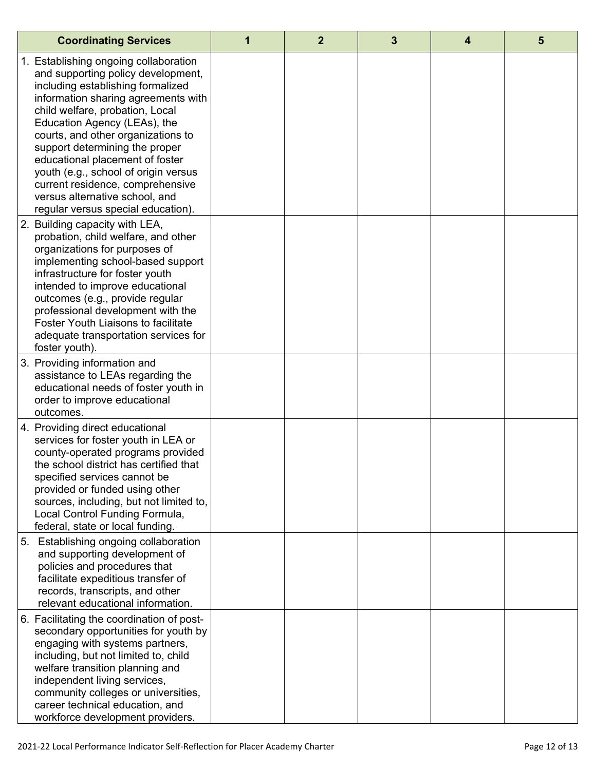| <b>Coordinating Services</b>                                                                                                                                                                                                                                                                                                                                                                                                                                                              | 1 | $\overline{2}$ | 3 | 4 | $5\phantom{1}$ |
|-------------------------------------------------------------------------------------------------------------------------------------------------------------------------------------------------------------------------------------------------------------------------------------------------------------------------------------------------------------------------------------------------------------------------------------------------------------------------------------------|---|----------------|---|---|----------------|
| 1. Establishing ongoing collaboration<br>and supporting policy development,<br>including establishing formalized<br>information sharing agreements with<br>child welfare, probation, Local<br>Education Agency (LEAs), the<br>courts, and other organizations to<br>support determining the proper<br>educational placement of foster<br>youth (e.g., school of origin versus<br>current residence, comprehensive<br>versus alternative school, and<br>regular versus special education). |   |                |   |   |                |
| 2. Building capacity with LEA,<br>probation, child welfare, and other<br>organizations for purposes of<br>implementing school-based support<br>infrastructure for foster youth<br>intended to improve educational<br>outcomes (e.g., provide regular<br>professional development with the<br><b>Foster Youth Liaisons to facilitate</b><br>adequate transportation services for<br>foster youth).                                                                                         |   |                |   |   |                |
| 3. Providing information and<br>assistance to LEAs regarding the<br>educational needs of foster youth in<br>order to improve educational<br>outcomes.                                                                                                                                                                                                                                                                                                                                     |   |                |   |   |                |
| 4. Providing direct educational<br>services for foster youth in LEA or<br>county-operated programs provided<br>the school district has certified that<br>specified services cannot be<br>provided or funded using other<br>sources, including, but not limited to,<br>Local Control Funding Formula,<br>federal, state or local funding.                                                                                                                                                  |   |                |   |   |                |
| Establishing ongoing collaboration<br>5.<br>and supporting development of<br>policies and procedures that<br>facilitate expeditious transfer of<br>records, transcripts, and other<br>relevant educational information.                                                                                                                                                                                                                                                                   |   |                |   |   |                |
| 6. Facilitating the coordination of post-<br>secondary opportunities for youth by<br>engaging with systems partners,<br>including, but not limited to, child<br>welfare transition planning and<br>independent living services,<br>community colleges or universities,<br>career technical education, and<br>workforce development providers.                                                                                                                                             |   |                |   |   |                |